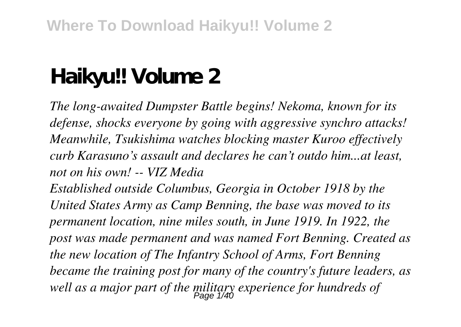# **Haikyu!! Volume 2**

*The long-awaited Dumpster Battle begins! Nekoma, known for its defense, shocks everyone by going with aggressive synchro attacks! Meanwhile, Tsukishima watches blocking master Kuroo effectively curb Karasuno's assault and declares he can't outdo him...at least, not on his own! -- VIZ Media Established outside Columbus, Georgia in October 1918 by the*

*United States Army as Camp Benning, the base was moved to its permanent location, nine miles south, in June 1919. In 1922, the post was made permanent and was named Fort Benning. Created as the new location of The Infantry School of Arms, Fort Benning became the training post for many of the country's future leaders, as well as a major part of the military experience for hundreds of* Page 1/40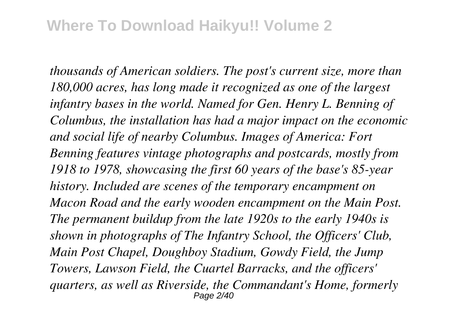*thousands of American soldiers. The post's current size, more than 180,000 acres, has long made it recognized as one of the largest infantry bases in the world. Named for Gen. Henry L. Benning of Columbus, the installation has had a major impact on the economic and social life of nearby Columbus. Images of America: Fort Benning features vintage photographs and postcards, mostly from 1918 to 1978, showcasing the first 60 years of the base's 85-year history. Included are scenes of the temporary encampment on Macon Road and the early wooden encampment on the Main Post. The permanent buildup from the late 1920s to the early 1940s is shown in photographs of The Infantry School, the Officers' Club, Main Post Chapel, Doughboy Stadium, Gowdy Field, the Jump Towers, Lawson Field, the Cuartel Barracks, and the officers' quarters, as well as Riverside, the Commandant's Home, formerly* Page 2/40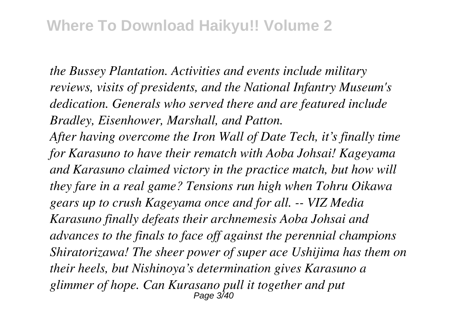*the Bussey Plantation. Activities and events include military reviews, visits of presidents, and the National Infantry Museum's dedication. Generals who served there and are featured include Bradley, Eisenhower, Marshall, and Patton.*

*After having overcome the Iron Wall of Date Tech, it's finally time for Karasuno to have their rematch with Aoba Johsai! Kageyama and Karasuno claimed victory in the practice match, but how will they fare in a real game? Tensions run high when Tohru Oikawa gears up to crush Kageyama once and for all. -- VIZ Media Karasuno finally defeats their archnemesis Aoba Johsai and advances to the finals to face off against the perennial champions Shiratorizawa! The sheer power of super ace Ushijima has them on their heels, but Nishinoya's determination gives Karasuno a glimmer of hope. Can Kurasano pull it together and put* Page 3/40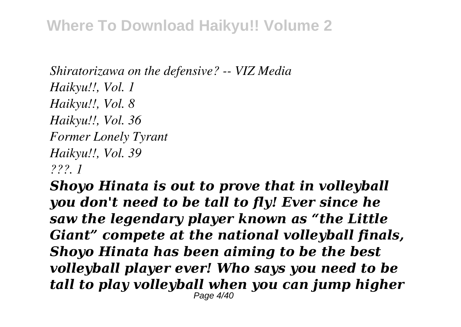#### **Where To Download Haikyu!! Volume 2**

*Shiratorizawa on the defensive? -- VIZ Media Haikyu!!, Vol. 1 Haikyu!!, Vol. 8 Haikyu!!, Vol. 36 Former Lonely Tyrant Haikyu!!, Vol. 39 ???. 1*

*Shoyo Hinata is out to prove that in volleyball you don't need to be tall to fly! Ever since he saw the legendary player known as "the Little Giant" compete at the national volleyball finals, Shoyo Hinata has been aiming to be the best volleyball player ever! Who says you need to be tall to play volleyball when you can jump higher* Page 4/40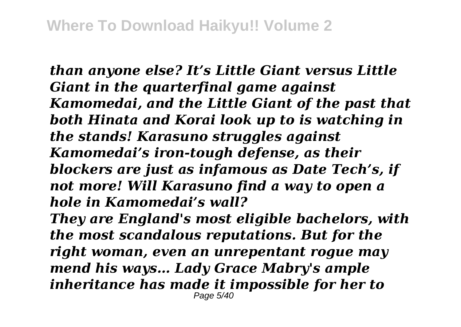*than anyone else? It's Little Giant versus Little Giant in the quarterfinal game against Kamomedai, and the Little Giant of the past that both Hinata and Korai look up to is watching in the stands! Karasuno struggles against Kamomedai's iron-tough defense, as their blockers are just as infamous as Date Tech's, if not more! Will Karasuno find a way to open a hole in Kamomedai's wall? They are England's most eligible bachelors, with the most scandalous reputations. But for the right woman, even an unrepentant rogue may mend his ways… Lady Grace Mabry's ample inheritance has made it impossible for her to* Page 5/40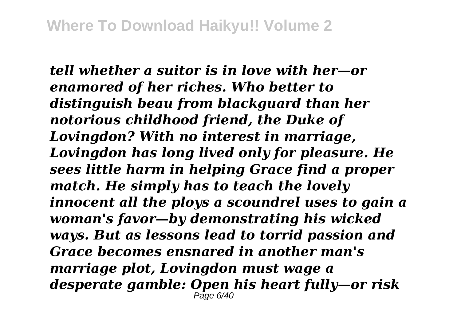*tell whether a suitor is in love with her—or enamored of her riches. Who better to distinguish beau from blackguard than her notorious childhood friend, the Duke of Lovingdon? With no interest in marriage, Lovingdon has long lived only for pleasure. He sees little harm in helping Grace find a proper match. He simply has to teach the lovely innocent all the ploys a scoundrel uses to gain a woman's favor—by demonstrating his wicked ways. But as lessons lead to torrid passion and Grace becomes ensnared in another man's marriage plot, Lovingdon must wage a desperate gamble: Open his heart fully—or risk* Page 6/40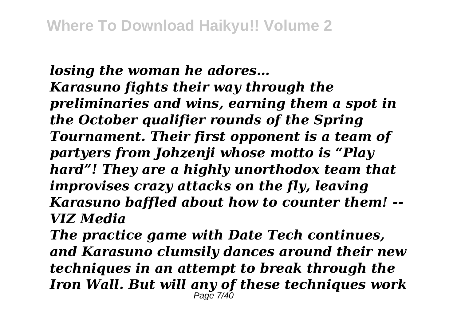*losing the woman he adores… Karasuno fights their way through the preliminaries and wins, earning them a spot in the October qualifier rounds of the Spring Tournament. Their first opponent is a team of partyers from Johzenji whose motto is "Play hard"! They are a highly unorthodox team that improvises crazy attacks on the fly, leaving Karasuno baffled about how to counter them! -- VIZ Media*

*The practice game with Date Tech continues, and Karasuno clumsily dances around their new techniques in an attempt to break through the Iron Wall. But will any of these techniques work* Page 7/40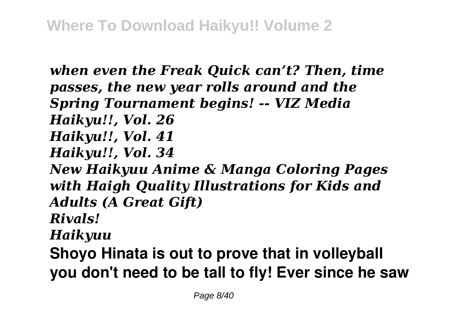*when even the Freak Quick can't? Then, time passes, the new year rolls around and the Spring Tournament begins! -- VIZ Media Haikyu!!, Vol. 26 Haikyu!!, Vol. 41 Haikyu!!, Vol. 34 New Haikyuu Anime & Manga Coloring Pages with Haigh Quality Illustrations for Kids and Adults (A Great Gift) Rivals! Haikyuu* **Shoyo Hinata is out to prove that in volleyball you don't need to be tall to fly! Ever since he saw**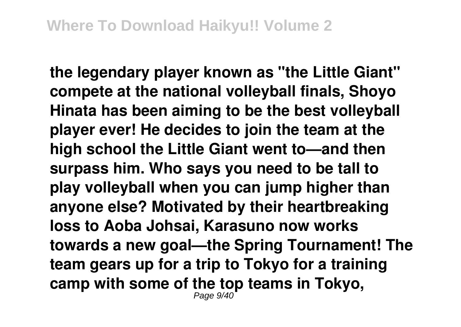**the legendary player known as "the Little Giant" compete at the national volleyball finals, Shoyo Hinata has been aiming to be the best volleyball player ever! He decides to join the team at the high school the Little Giant went to—and then surpass him. Who says you need to be tall to play volleyball when you can jump higher than anyone else? Motivated by their heartbreaking loss to Aoba Johsai, Karasuno now works towards a new goal—the Spring Tournament! The team gears up for a trip to Tokyo for a training camp with some of the top teams in Tokyo,** Page 9/40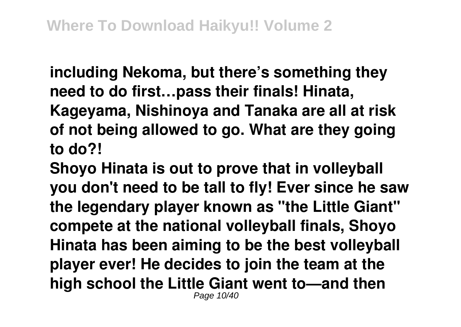**including Nekoma, but there's something they need to do first…pass their finals! Hinata,**

**Kageyama, Nishinoya and Tanaka are all at risk of not being allowed to go. What are they going to do?!**

**Shoyo Hinata is out to prove that in volleyball you don't need to be tall to fly! Ever since he saw the legendary player known as "the Little Giant" compete at the national volleyball finals, Shoyo Hinata has been aiming to be the best volleyball player ever! He decides to join the team at the high school the Little Giant went to—and then** Page 10/40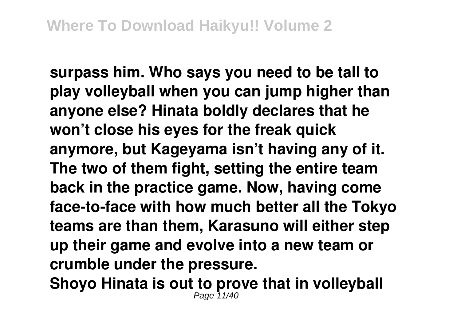**surpass him. Who says you need to be tall to play volleyball when you can jump higher than anyone else? Hinata boldly declares that he won't close his eyes for the freak quick anymore, but Kageyama isn't having any of it. The two of them fight, setting the entire team back in the practice game. Now, having come face-to-face with how much better all the Tokyo teams are than them, Karasuno will either step up their game and evolve into a new team or crumble under the pressure.**

**Shoyo Hinata is out to prove that in volleyball** Page 11/40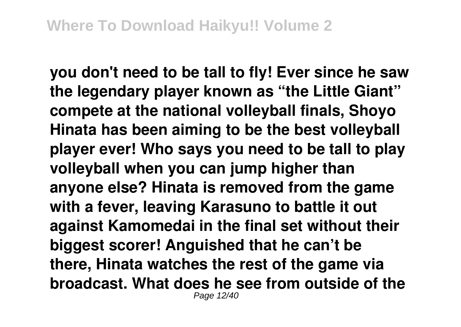**you don't need to be tall to fly! Ever since he saw the legendary player known as "the Little Giant" compete at the national volleyball finals, Shoyo Hinata has been aiming to be the best volleyball player ever! Who says you need to be tall to play volleyball when you can jump higher than anyone else? Hinata is removed from the game with a fever, leaving Karasuno to battle it out against Kamomedai in the final set without their biggest scorer! Anguished that he can't be there, Hinata watches the rest of the game via broadcast. What does he see from outside of the** Page 12/40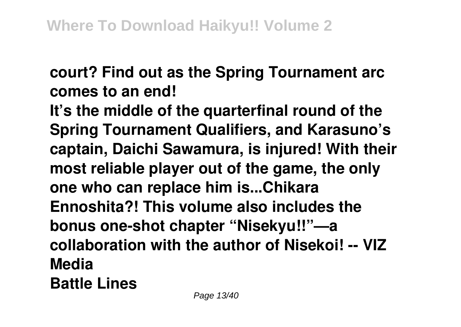# **court? Find out as the Spring Tournament arc comes to an end!**

**It's the middle of the quarterfinal round of the Spring Tournament Qualifiers, and Karasuno's captain, Daichi Sawamura, is injured! With their most reliable player out of the game, the only one who can replace him is...Chikara Ennoshita?! This volume also includes the bonus one-shot chapter "Nisekyu!!"—a collaboration with the author of Nisekoi! -- VIZ Media Battle Lines**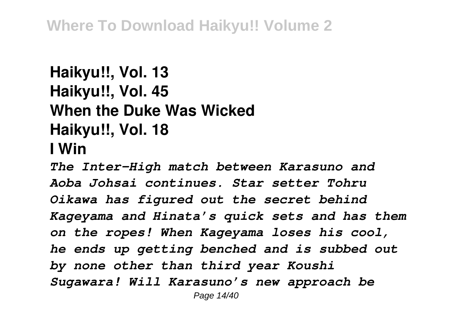## **Haikyu!!, Vol. 13 Haikyu!!, Vol. 45 When the Duke Was Wicked Haikyu!!, Vol. 18 I Win**

*The Inter-High match between Karasuno and Aoba Johsai continues. Star setter Tohru Oikawa has figured out the secret behind Kageyama and Hinata's quick sets and has them on the ropes! When Kageyama loses his cool, he ends up getting benched and is subbed out by none other than third year Koushi Sugawara! Will Karasuno's new approach be* Page 14/40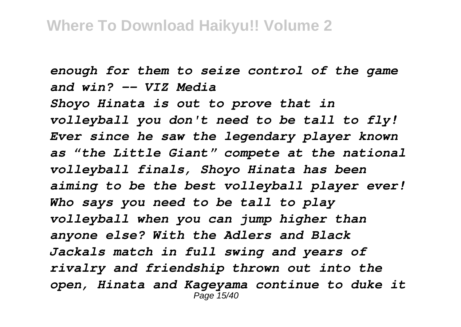*enough for them to seize control of the game and win? -- VIZ Media Shoyo Hinata is out to prove that in volleyball you don't need to be tall to fly! Ever since he saw the legendary player known as "the Little Giant" compete at the national volleyball finals, Shoyo Hinata has been aiming to be the best volleyball player ever! Who says you need to be tall to play volleyball when you can jump higher than anyone else? With the Adlers and Black Jackals match in full swing and years of rivalry and friendship thrown out into the open, Hinata and Kageyama continue to duke it* Page 15/40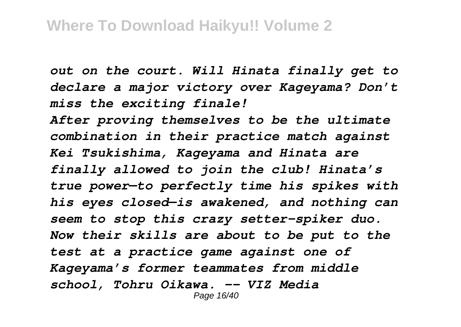*out on the court. Will Hinata finally get to declare a major victory over Kageyama? Don't miss the exciting finale!*

*After proving themselves to be the ultimate combination in their practice match against Kei Tsukishima, Kageyama and Hinata are finally allowed to join the club! Hinata's true power—to perfectly time his spikes with his eyes closed—is awakened, and nothing can seem to stop this crazy setter-spiker duo. Now their skills are about to be put to the test at a practice game against one of Kageyama's former teammates from middle school, Tohru Oikawa. -- VIZ Media* Page 16/40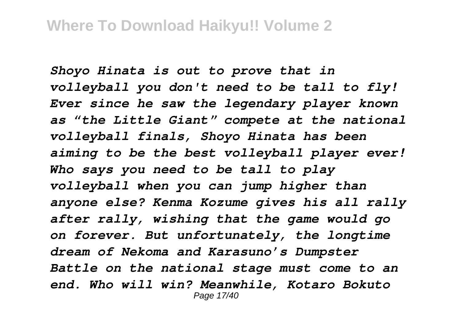*Shoyo Hinata is out to prove that in volleyball you don't need to be tall to fly! Ever since he saw the legendary player known as "the Little Giant" compete at the national volleyball finals, Shoyo Hinata has been aiming to be the best volleyball player ever! Who says you need to be tall to play volleyball when you can jump higher than anyone else? Kenma Kozume gives his all rally after rally, wishing that the game would go on forever. But unfortunately, the longtime dream of Nekoma and Karasuno's Dumpster Battle on the national stage must come to an end. Who will win? Meanwhile, Kotaro Bokuto* Page 17/40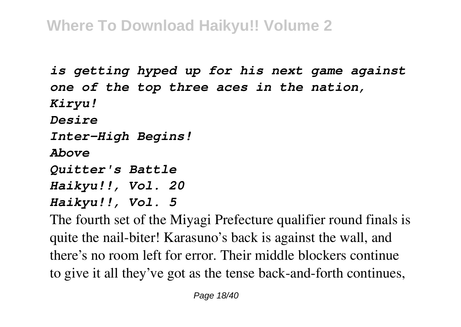## **Where To Download Haikyu!! Volume 2**

*is getting hyped up for his next game against one of the top three aces in the nation, Kiryu! Desire Inter-High Begins! Above Quitter's Battle Haikyu!!, Vol. 20 Haikyu!!, Vol. 5* The fourth set of the Miyagi Prefecture qualifier round finals is

quite the nail-biter! Karasuno's back is against the wall, and there's no room left for error. Their middle blockers continue to give it all they've got as the tense back-and-forth continues,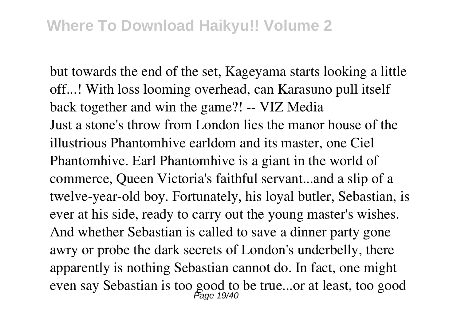but towards the end of the set, Kageyama starts looking a little off...! With loss looming overhead, can Karasuno pull itself back together and win the game?! -- VIZ Media Just a stone's throw from London lies the manor house of the illustrious Phantomhive earldom and its master, one Ciel Phantomhive. Earl Phantomhive is a giant in the world of commerce, Queen Victoria's faithful servant...and a slip of a twelve-year-old boy. Fortunately, his loyal butler, Sebastian, is ever at his side, ready to carry out the young master's wishes. And whether Sebastian is called to save a dinner party gone awry or probe the dark secrets of London's underbelly, there apparently is nothing Sebastian cannot do. In fact, one might even say Sebastian is too good to be true...or at least, too good Page 19/40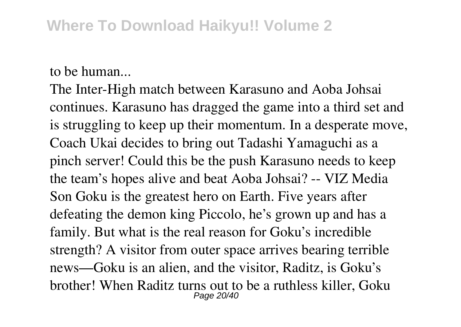to be human...

The Inter-High match between Karasuno and Aoba Johsai continues. Karasuno has dragged the game into a third set and is struggling to keep up their momentum. In a desperate move, Coach Ukai decides to bring out Tadashi Yamaguchi as a pinch server! Could this be the push Karasuno needs to keep the team's hopes alive and beat Aoba Johsai? -- VIZ Media Son Goku is the greatest hero on Earth. Five years after defeating the demon king Piccolo, he's grown up and has a family. But what is the real reason for Goku's incredible strength? A visitor from outer space arrives bearing terrible news—Goku is an alien, and the visitor, Raditz, is Goku's brother! When Raditz turns out to be a ruthless killer, Goku Page 20/40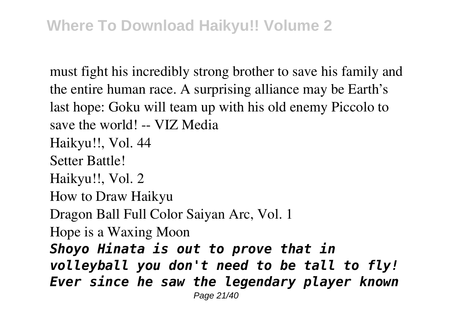must fight his incredibly strong brother to save his family and the entire human race. A surprising alliance may be Earth's last hope: Goku will team up with his old enemy Piccolo to save the world! -- VIZ Media Haikyu!!, Vol. 44 Setter Battle! Haikyu!!, Vol. 2 How to Draw Haikyu Dragon Ball Full Color Saiyan Arc, Vol. 1 Hope is a Waxing Moon *Shoyo Hinata is out to prove that in volleyball you don't need to be tall to fly! Ever since he saw the legendary player known* Page 21/40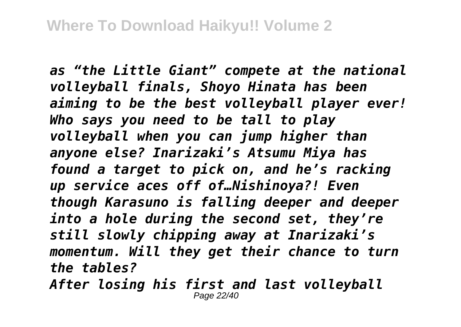*as "the Little Giant" compete at the national volleyball finals, Shoyo Hinata has been aiming to be the best volleyball player ever! Who says you need to be tall to play volleyball when you can jump higher than anyone else? Inarizaki's Atsumu Miya has found a target to pick on, and he's racking up service aces off of…Nishinoya?! Even though Karasuno is falling deeper and deeper into a hole during the second set, they're still slowly chipping away at Inarizaki's momentum. Will they get their chance to turn the tables?*

*After losing his first and last volleyball* Page 22/40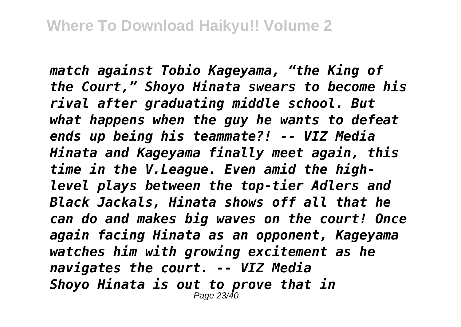*match against Tobio Kageyama, "the King of the Court," Shoyo Hinata swears to become his rival after graduating middle school. But what happens when the guy he wants to defeat ends up being his teammate?! -- VIZ Media Hinata and Kageyama finally meet again, this time in the V.League. Even amid the highlevel plays between the top-tier Adlers and Black Jackals, Hinata shows off all that he can do and makes big waves on the court! Once again facing Hinata as an opponent, Kageyama watches him with growing excitement as he navigates the court. -- VIZ Media Shoyo Hinata is out to prove that in* Page 23/40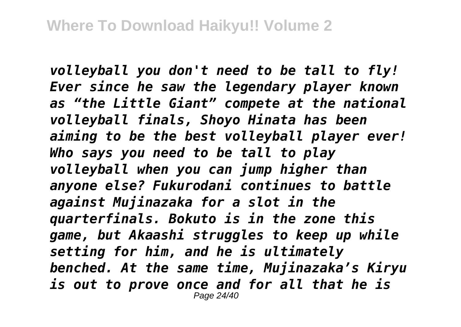*volleyball you don't need to be tall to fly! Ever since he saw the legendary player known as "the Little Giant" compete at the national volleyball finals, Shoyo Hinata has been aiming to be the best volleyball player ever! Who says you need to be tall to play volleyball when you can jump higher than anyone else? Fukurodani continues to battle against Mujinazaka for a slot in the quarterfinals. Bokuto is in the zone this game, but Akaashi struggles to keep up while setting for him, and he is ultimately benched. At the same time, Mujinazaka's Kiryu is out to prove once and for all that he is* Page 24/40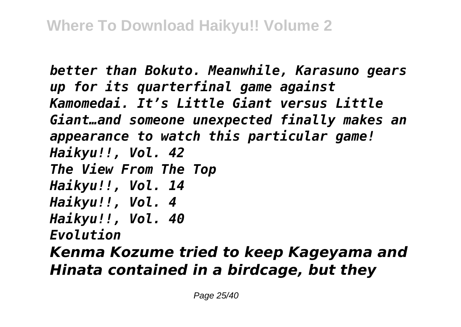*better than Bokuto. Meanwhile, Karasuno gears up for its quarterfinal game against Kamomedai. It's Little Giant versus Little Giant…and someone unexpected finally makes an appearance to watch this particular game! Haikyu!!, Vol. 42 The View From The Top Haikyu!!, Vol. 14 Haikyu!!, Vol. 4 Haikyu!!, Vol. 40 Evolution*

*Kenma Kozume tried to keep Kageyama and Hinata contained in a birdcage, but they*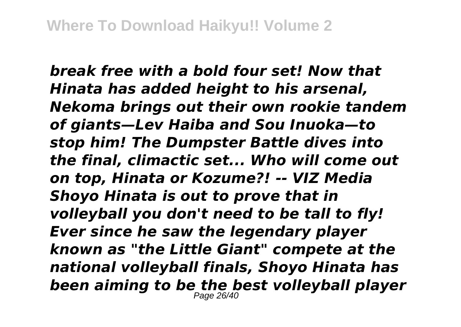*break free with a bold four set! Now that Hinata has added height to his arsenal, Nekoma brings out their own rookie tandem of giants—Lev Haiba and Sou Inuoka—to stop him! The Dumpster Battle dives into the final, climactic set... Who will come out on top, Hinata or Kozume?! -- VIZ Media Shoyo Hinata is out to prove that in volleyball you don't need to be tall to fly! Ever since he saw the legendary player known as "the Little Giant" compete at the national volleyball finals, Shoyo Hinata has been aiming to be the best volleyball player* Page 26/40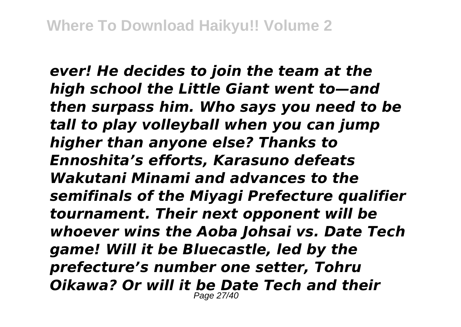*ever! He decides to join the team at the high school the Little Giant went to—and then surpass him. Who says you need to be tall to play volleyball when you can jump higher than anyone else? Thanks to Ennoshita's efforts, Karasuno defeats Wakutani Minami and advances to the semifinals of the Miyagi Prefecture qualifier tournament. Their next opponent will be whoever wins the Aoba Johsai vs. Date Tech game! Will it be Bluecastle, led by the prefecture's number one setter, Tohru Oikawa? Or will it be Date Tech and their* Page 27/40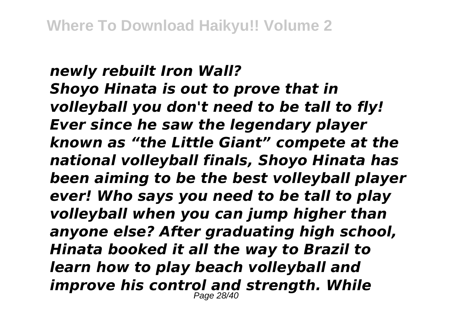#### *newly rebuilt Iron Wall? Shoyo Hinata is out to prove that in volleyball you don't need to be tall to fly! Ever since he saw the legendary player known as "the Little Giant" compete at the national volleyball finals, Shoyo Hinata has been aiming to be the best volleyball player ever! Who says you need to be tall to play volleyball when you can jump higher than anyone else? After graduating high school, Hinata booked it all the way to Brazil to learn how to play beach volleyball and improve his control and strength. While* Page 28/40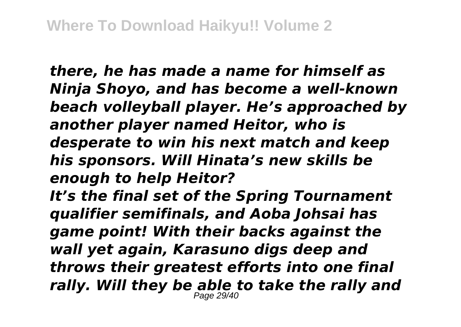*there, he has made a name for himself as Ninja Shoyo, and has become a well-known beach volleyball player. He's approached by another player named Heitor, who is desperate to win his next match and keep his sponsors. Will Hinata's new skills be enough to help Heitor? It's the final set of the Spring Tournament qualifier semifinals, and Aoba Johsai has game point! With their backs against the wall yet again, Karasuno digs deep and throws their greatest efforts into one final rally. Will they be able to take the rally and* Page 29/40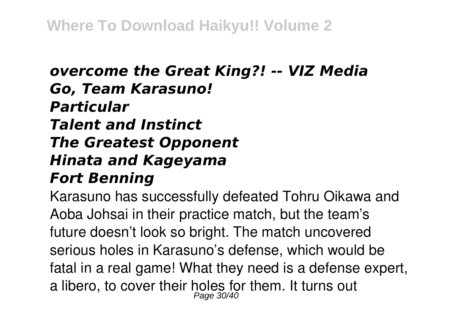### *overcome the Great King?! -- VIZ Media Go, Team Karasuno! Particular Talent and Instinct The Greatest Opponent Hinata and Kageyama Fort Benning*

Karasuno has successfully defeated Tohru Oikawa and Aoba Johsai in their practice match, but the team's future doesn't look so bright. The match uncovered serious holes in Karasuno's defense, which would be fatal in a real game! What they need is a defense expert, a libero, to cover their holes for them. It turns out Page 30/40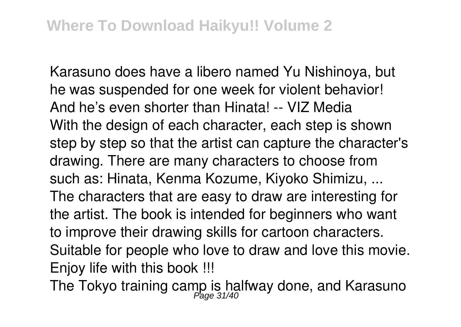Karasuno does have a libero named Yu Nishinoya, but he was suspended for one week for violent behavior! And he's even shorter than Hinata! -- VIZ Media With the design of each character, each step is shown step by step so that the artist can capture the character's drawing. There are many characters to choose from such as: Hinata, Kenma Kozume, Kiyoko Shimizu, ... The characters that are easy to draw are interesting for the artist. The book is intended for beginners who want to improve their drawing skills for cartoon characters. Suitable for people who love to draw and love this movie. Enjoy life with this book !!!

The Tokyo training camp is halfway done, and Karasuno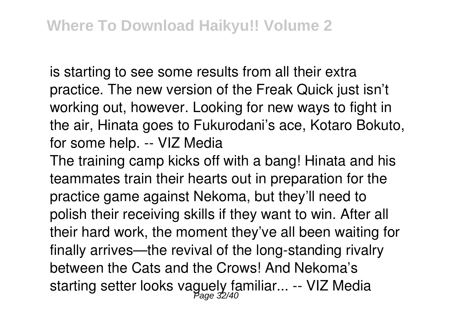is starting to see some results from all their extra practice. The new version of the Freak Quick just isn't working out, however. Looking for new ways to fight in the air, Hinata goes to Fukurodani's ace, Kotaro Bokuto, for some help. -- VIZ Media

The training camp kicks off with a bang! Hinata and his teammates train their hearts out in preparation for the practice game against Nekoma, but they'll need to polish their receiving skills if they want to win. After all their hard work, the moment they've all been waiting for finally arrives—the revival of the long-standing rivalry between the Cats and the Crows! And Nekoma's starting setter looks vaguely familiar... -- VIZ Media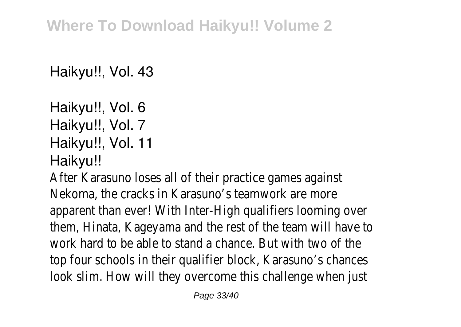Haikyu!!, Vol. 43

Haikyu!!, Vol. 6 Haikyu!!, Vol. 7 Haikyu!!, Vol. 11 Haikyu!!

After Karasuno loses all of their practice games against Nekoma, the cracks in Karasuno's teamwork are more apparent than ever! With Inter-High qualifiers looming over them, Hinata, Kageyama and the rest of the team will have to work hard to be able to stand a chance. But with two of the top four schools in their qualifier block, Karasuno's chances look slim. How will they overcome this challenge when just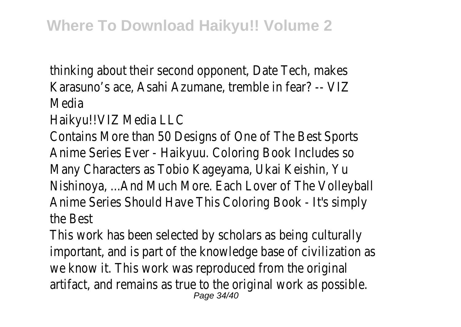thinking about their second opponent, Date Tech, makes Karasuno's ace, Asahi Azumane, tremble in fear? -- VIZ Media

Haikyu!!VIZ Media LLC

Contains More than 50 Designs of One of The Best Sports Anime Series Ever - Haikyuu. Coloring Book Includes so Many Characters as Tobio Kageyama, Ukai Keishin, Yu Nishinoya, ...And Much More. Each Lover of The Volleyball Anime Series Should Have This Coloring Book - It's simply the Best

This work has been selected by scholars as being culturally important, and is part of the knowledge base of civilization as we know it. This work was reproduced from the original artifact, and remains as true to the original work as possible. Page 34/40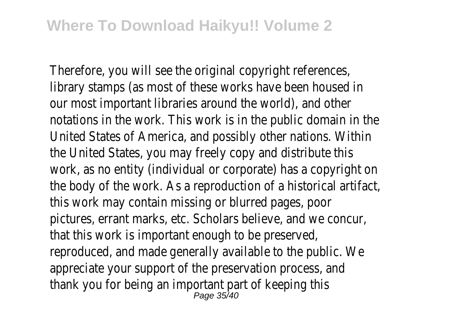Therefore, you will see the original copyright references, library stamps (as most of these works have been housed in our most important libraries around the world), and other notations in the work. This work is in the public domain in the United States of America, and possibly other nations. Within the United States, you may freely copy and distribute this work, as no entity (individual or corporate) has a copyright on the body of the work. As a reproduction of a historical artifact, this work may contain missing or blurred pages, poor pictures, errant marks, etc. Scholars believe, and we concur, that this work is important enough to be preserved, reproduced, and made generally available to the public. We appreciate your support of the preservation process, and thank you for being an important part of keeping this Page 35/40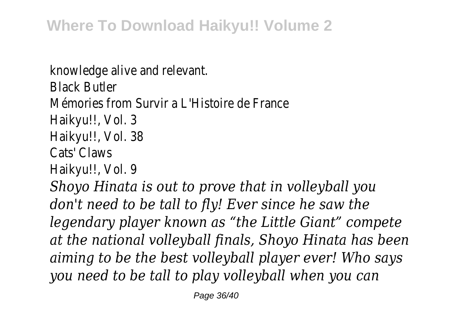knowledge alive and relevant. Black Butler Mémories from Survir a L'Histoire de France Haikyu!!, Vol. 3 Haikyu!!, Vol. 38 Cats' Claws Haikyu!!, Vol. 9 *Shoyo Hinata is out to prove that in volleyball you don't need to be tall to fly! Ever since he saw the legendary player known as "the Little Giant" compete at the national volleyball finals, Shoyo Hinata has been aiming to be the best volleyball player ever! Who says you need to be tall to play volleyball when you can*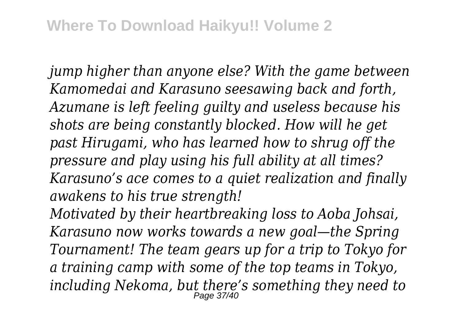*jump higher than anyone else? With the game between Kamomedai and Karasuno seesawing back and forth, Azumane is left feeling guilty and useless because his shots are being constantly blocked. How will he get past Hirugami, who has learned how to shrug off the pressure and play using his full ability at all times? Karasuno's ace comes to a quiet realization and finally awakens to his true strength!*

*Motivated by their heartbreaking loss to Aoba Johsai, Karasuno now works towards a new goal—the Spring Tournament! The team gears up for a trip to Tokyo for a training camp with some of the top teams in Tokyo, including Nekoma, but there's something they need to* Page 37/40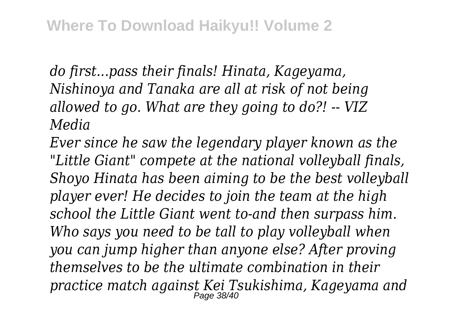*do first...pass their finals! Hinata, Kageyama, Nishinoya and Tanaka are all at risk of not being allowed to go. What are they going to do?! -- VIZ Media*

*Ever since he saw the legendary player known as the "Little Giant" compete at the national volleyball finals, Shoyo Hinata has been aiming to be the best volleyball player ever! He decides to join the team at the high school the Little Giant went to-and then surpass him. Who says you need to be tall to play volleyball when you can jump higher than anyone else? After proving themselves to be the ultimate combination in their practice match against Kei Tsukishima, Kageyama and* Page 38/40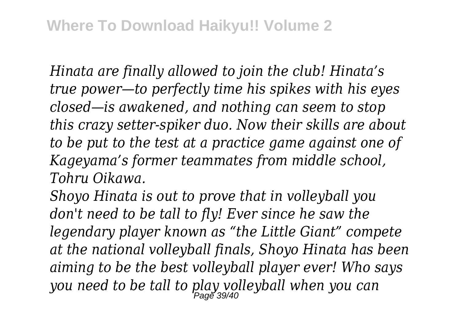*Hinata are finally allowed to join the club! Hinata's true power—to perfectly time his spikes with his eyes closed—is awakened, and nothing can seem to stop this crazy setter-spiker duo. Now their skills are about to be put to the test at a practice game against one of Kageyama's former teammates from middle school, Tohru Oikawa.*

*Shoyo Hinata is out to prove that in volleyball you don't need to be tall to fly! Ever since he saw the legendary player known as "the Little Giant" compete at the national volleyball finals, Shoyo Hinata has been aiming to be the best volleyball player ever! Who says you need to be tall to play volleyball when you can* Page 39/40